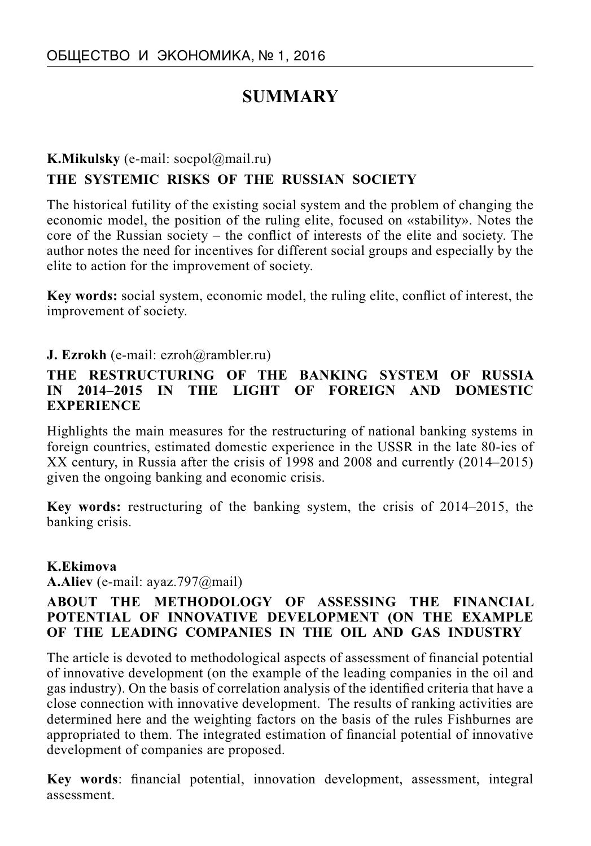# **SUMMARY**

## **K.Mikulsky** (e-mail: socpol@mail.ru) **THE SYSTEMIC RISKS OF THE RUSSIAN SOCIETY**

The historical futility of the existing social system and the problem of changing the economic model, the position of the ruling elite, focused on «stability». Notes the core of the Russian society – the conflict of interests of the elite and society. The author notes the need for incentives for different social groups and especially by the elite to action for the improvement of society.

**Key words:** social system, economic model, the ruling elite, conflict of interest, the improvement of society.

#### **J. Ezrokh** (e-mail: ezroh@rambler.ru)

#### **THE RESTRUCTURING OF THE BANKING SYSTEM OF RUSSIA IN 2014–2015 IN THE LIGHT OF FOREIGN AND DOMESTIC EXPERIENCE**

Highlights the main measures for the restructuring of national banking systems in foreign countries, estimated domestic experience in the USSR in the late 80-ies of XX century, in Russia after the crisis of 1998 and 2008 and currently (2014–2015) given the ongoing banking and economic crisis.

**Key words:** restructuring of the banking system, the crisis of 2014–2015, the banking crisis.

#### **K.Ekimova**

**A.Aliev** (е-mail: ayaz.797@mail)

#### **ABOUT THE METHODOLOGY OF ASSESSING THE FINANCIAL POTENTIAL OF INNOVATIVE DEVELOPMENT (ON THE EXAMPLE OF THE LEADING COMPANIES IN THE OIL AND GAS INDUSTRY**

The article is devoted to methodological aspects of assessment of financial potential of innovative development (on the example of the leading companies in the oil and gas industry). On the basis of correlation analysis of the identified criteria that have a close connection with innovative development. The results of ranking activities are determined here and the weighting factors on the basis of the rules Fishburnes are appropriated to them. The integrated estimation of financial potential of innovative development of companies are proposed.

**Key words:** financial potential, innovation development, assessment, integral assessment.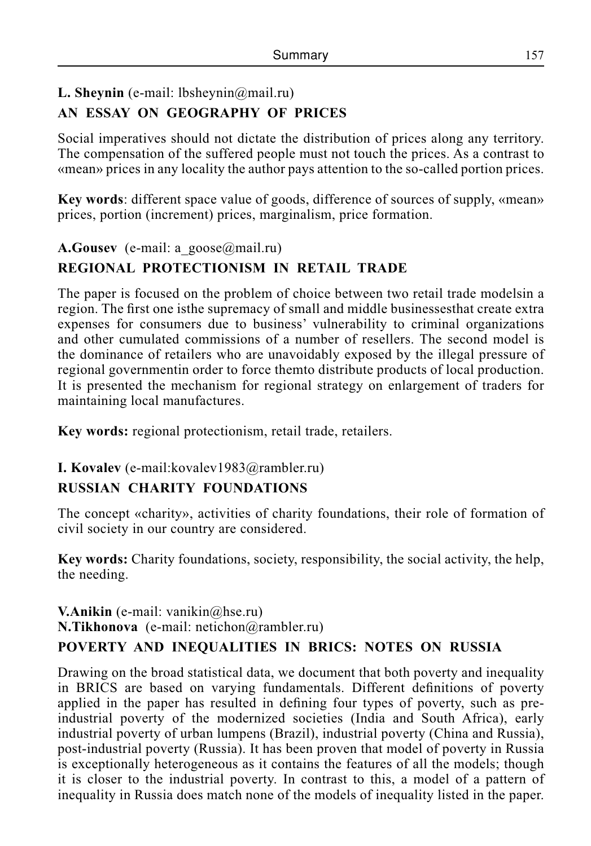### **L. Sheynin** (e-mail: lbsheynin@mail.ru)

# **AN ESSAY ON GEOGRAPHY OF PRICES**

Social imperatives should not dictate the distribution of prices along any territory. The compensation of the suffered people must not touch the prices. As a contrast to «mean» prices in any locality the author pays attention to the so-called portion prices.

**Key words**: different space value of goods, difference of sources of supply, «mean» prices, portion (increment) prices, marginalism, price formation.

#### **A.Gousev** (e-mail: a goose@mail.ru)

## **REGIONAL PROTECTIONISM IN RETAIL TRADE**

The paper is focused on the problem of choice between two retail trade modelsin a region. The first one isthe supremacy of small and middle businessesthat create extra expenses for consumers due to business' vulnerability to criminal organizations and other cumulated commissions of a number of resellers. The second model is the dominance of retailers who are unavoidably exposed by the illegal pressure of regional governmentin order to force themto distribute products of local production. It is presented the mechanism for regional strategy on enlargement of traders for maintaining local manufactures.

**Key words:** regional protectionism, retail trade, retailers.

#### **I. Kovalev** (e-mail:kovalev1983@rambler.ru)

## **RUSSIAN CHARITY FOUNDATIONS**

The concept «charity», activities of charity foundations, their role of formation of civil society in our country are considered.

**Key words:** Charity foundations, society, responsibility, the social activity, the help, the needing.

**V.Anikin** (e-mail: vanikin@hse.ru) **N.Tikhonova** (е-mail: netichon@rambler.ru)

## **POVERTY AND INEQUALITIES IN BRICS: NOTES ON RUSSIA**

Drawing on the broad statistical data, we document that both poverty and inequality in BRICS are based on varying fundamentals. Different definitions of poverty applied in the paper has resulted in defining four types of poverty, such as preindustrial poverty of the modernized societies (India and South Africa), early industrial poverty of urban lumpens (Brazil), industrial poverty (China and Russia), post-industrial poverty (Russia). It has been proven that model of poverty in Russia is exceptionally heterogeneous as it contains the features of all the models; though it is closer to the industrial poverty. In contrast to this, a model of a pattern of inequality in Russia does match none of the models of inequality listed in the paper.